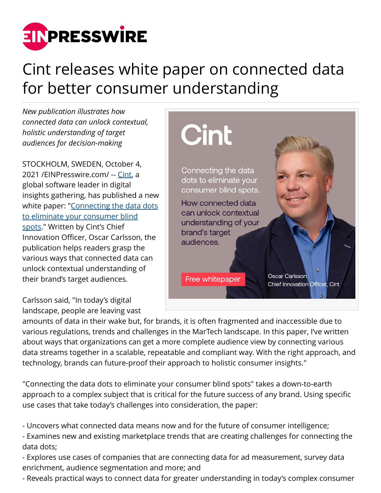

## Cint releases white paper on connected data for better consumer understanding

*New publication illustrates how connected data can unlock contextual, holistic understanding of target audiences for decision-making*

STOCKHOLM, SWEDEN, October 4, 2021 /[EINPresswire.com](http://www.einpresswire.com)/ -- [Cint,](http://www.cint.com) a global software leader in digital insights gathering, has published a new white paper: "[Connecting the data dots](http://www.cint.com/connected-data) [to eliminate your consumer blind](http://www.cint.com/connected-data) [spots](http://www.cint.com/connected-data)." Written by Cint's Chief Innovation Officer, Oscar Carlsson, the publication helps readers grasp the various ways that connected data can unlock contextual understanding of their brand's target audiences.

Carlsson said, "In today's digital landscape, people are leaving vast



amounts of data in their wake but, for brands, it is often fragmented and inaccessible due to various regulations, trends and challenges in the MarTech landscape. In this paper, I've written about ways that organizations can get a more complete audience view by connecting various data streams together in a scalable, repeatable and compliant way. With the right approach, and technology, brands can future-proof their approach to holistic consumer insights."

"Connecting the data dots to eliminate your consumer blind spots" takes a down-to-earth approach to a complex subject that is critical for the future success of any brand. Using specific use cases that take today's challenges into consideration, the paper:

- Uncovers what connected data means now and for the future of consumer intelligence;

- Examines new and existing marketplace trends that are creating challenges for connecting the data dots;

- Explores use cases of companies that are connecting data for ad measurement, survey data enrichment, audience segmentation and more; and

- Reveals practical ways to connect data for greater understanding in today's complex consumer